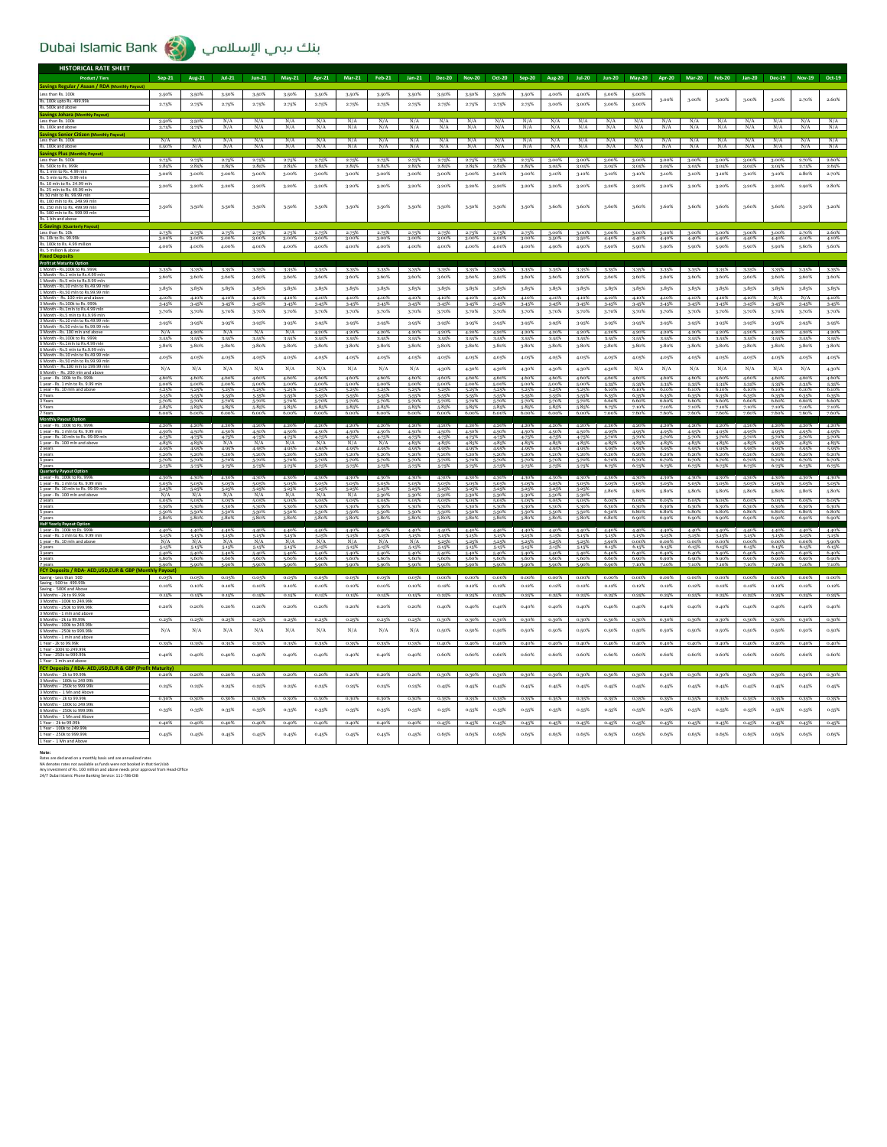## Dubai Islamic Bank (مناك دبحي الإسلامحي )

| <b>HISTORICAL RATE SHEET</b>                                                  |                                  |                                  |                         |                                  |                  |                               |                                  |                                  |                |                         |                                                                   |                            |                |                                                 |                |                |                               |                |                |                |                |                                                 |                                                 |                         |
|-------------------------------------------------------------------------------|----------------------------------|----------------------------------|-------------------------|----------------------------------|------------------|-------------------------------|----------------------------------|----------------------------------|----------------|-------------------------|-------------------------------------------------------------------|----------------------------|----------------|-------------------------------------------------|----------------|----------------|-------------------------------|----------------|----------------|----------------|----------------|-------------------------------------------------|-------------------------------------------------|-------------------------|
| <b>Product / Tiers</b>                                                        | $Sep-21$                         | <b>Aug-21</b>                    | $Jul-21$                | <b>Jun-21</b>                    | $May-21$         | Apr-21                        | <b>Mar-21</b>                    | <b>Feb-21</b>                    | $Jan-21$       | <b>Dec-20</b>           | <b>Nov-20</b>                                                     | Oct-20                     | Sep-20         | <b>Aug-20</b>                                   | $Jul-20$       | $Jun-20$       | $May-20$                      |                | Apr-20 Mar-20  | <b>Feb-20</b>  |                | Jan-20 Dec-19                                   | <b>Nov-19</b>                                   | Oct-19                  |
| <b>Savings Regular / Asaan / RDA (Monthly Payout)</b>                         |                                  |                                  |                         |                                  |                  |                               |                                  |                                  |                |                         |                                                                   |                            |                |                                                 |                |                |                               |                |                |                |                |                                                 |                                                 |                         |
| Less than Rs. 100k                                                            | 3-50%                            | 3.50%                            | 3.50%                   | 3-50%                            | 3.50%            | 3.50%                         | 3.50%                            | 3.50%                            | 3.50%          | 3.50%                   | 3.50%                                                             | 3.50%                      | 3.50%          | 4.00%                                           | 4.00%          | 5.00%          | 5.00%                         | 3.00%          | 3.00%          | 3.00%          | 3.00%          | 3.00%                                           | 2.70%                                           | 2.60%                   |
| Rs. 100k upto Rs. 499.99k                                                     | 2.75%                            | 2.75%                            | 2.75%                   | 2.75%                            | 2.75%            | 2.75%                         | 2.75%                            | 2.75%                            | 2.75%          | 2.75%                   | 2.75%                                                             | 2.75%                      | 2.75%          | 3.00%                                           | 3.00%          | 3.00%          | 3.00%                         |                |                |                |                |                                                 |                                                 |                         |
| Savings Johara (M<br>Less than Rs. 100k                                       | 3.50%                            | 3.509                            |                         |                                  |                  |                               |                                  |                                  |                |                         |                                                                   |                            |                |                                                 |                |                |                               |                |                |                |                |                                                 |                                                 |                         |
| Rs. 100k and abo                                                              |                                  |                                  | N/A                     | N/A                              | N/A              | N/A                           | N/A                              | N/A                              | N/A            | N/A                     | N/A                                                               | N/A                        | N/A            | N/A                                             | N/A            | N/A            | N/A                           | N/A            | N/A            | N/A            | N/A            | N/A                                             | N/A                                             | N/A                     |
| <b>Savings Senior Citi</b>                                                    | N/A                              | N/A                              | N/A                     | N/A                              | N/A              | N/A                           | N/A                              |                                  | N/A            | N/A                     | N/A                                                               | N/A                        | N/A            | N/A                                             | N/A            | N/A            | N/A                           | N/A            | N/A            | N/A            | N/A            | N/A                                             | N/A                                             | N/A                     |
| Less than Rs. 100k<br>Rs. 100k and above<br><b>Savings Plus (Monthly Payo</b> | 5.50%                            | N/A                              | N/A                     | $\overline{N/A}$                 | $\overline{N}/A$ |                               | $\overline{N}$ //                | $\frac{N/A}{N/A}$                | N/A            | $\overline{N}/A$        |                                                                   | $\overline{N/A}$           |                | N/A                                             | N/A            | N/A            | N/A                           |                | N/A            |                |                | N/A                                             | N/A                                             | N/A                     |
| Less than Rs. 500k                                                            | $\frac{2.75\%}{2.85\%}$          | $\frac{2.75\%}{2.85\%}$          | $\frac{2.75\%}{2.85\%}$ | 2.75%                            | 2.75%            | 2.75%                         | 2.75%                            | 2.75%                            | 2.75%          | $\frac{2.75\%}{2.85\%}$ | 2.75%                                                             | 2.75%                      | 2.75%          | 3.00%                                           | 3.00%          | 3.00%          | 3.00%                         | 3.00%          | 3.00%          | 3.00%          | 3.00%          | 3.00%                                           | 2.70%                                           | 2.60%                   |
| Rs. 500k to Rs. 999k<br>Rs. 1 mln to Rs. 4.99 mln                             | 3,00%                            | 3.00%                            | 3,00%                   | 2.85%<br>3.00%                   | 2.85%<br>3.00%   | 2.85%<br>3.00%                | 2.85%<br>3,00%                   | 2.85%<br>3.00%                   | 2.85%<br>3.00% | 3,00%                   | 2.85%<br>3.00%                                                    | 2.85%<br>3.00%             | 2.85%<br>3,00% | 3.05%<br>3.10%                                  | 3.05%<br>3.10% | 3.05%<br>3.10% | 3.05%<br>3.10%                | 3.05%<br>3.10% | 3.05%<br>3.10% | 3.05%<br>3.10% | 3.05%<br>3.10% | 3.05%<br>3.10%                                  | 2.75%<br>2.80%                                  | 2.65%<br>2.70%          |
| Rs. 5 mln to Rs. 9.99 mln<br>Rs. 10 mln to Rs. 24.99 ml                       | 3.20%                            | $3.20\%$                         | 3.20%                   | 3.20%                            | $3.20\%$         | $3.20\%$                      | 3.20%                            | $3.20\%$                         | 3.20%          | 3.20%                   | 3.20%                                                             | 3.20%                      | 3.20%          | 3.20%                                           | 3.20%          | 3.20%          | 3.20%                         | 3.20%          | $3.20\%$       | 3.20%          | 3.20%          | 3.20%                                           | $2.90\%$                                        | 2.80%                   |
| Rs. 25 mln to Rs. 49.99 mln                                                   |                                  |                                  |                         |                                  |                  |                               |                                  |                                  |                |                         |                                                                   |                            |                |                                                 |                |                |                               |                |                |                |                |                                                 |                                                 |                         |
| Rs 50 mln to Rs. 99.99 mln<br>Rs. 100 mln to Rs. 249.99 ml                    |                                  |                                  |                         |                                  |                  |                               |                                  |                                  |                |                         |                                                                   |                            |                |                                                 |                |                |                               |                |                |                |                |                                                 |                                                 | 3.20%                   |
| Rs. 250 mln to Rs. 499.99 mln<br>Rs. 500 mln to Rs. 999.99 mln                | 3.50%                            | 3.50%                            | 3.50%                   | 3.50%                            | 3.50%            | 3.50%                         | 3.50%                            | 3.50%                            | 3.50%          | 3.50%                   | 3.50%                                                             | 3.50%                      | 3.50%          | 3.60%                                           | 3.60%          | 3.60%          | 3.60%                         | 3.60%          | 3.60%          | 3.60%          | 3.60%          | 3.60%                                           | 3.30%                                           |                         |
| Rs. 1 bln and abo<br><b>E-Savings (Quarterly Payo</b>                         |                                  |                                  |                         |                                  |                  |                               |                                  |                                  |                |                         |                                                                   |                            |                |                                                 |                |                |                               |                |                |                |                |                                                 |                                                 |                         |
| Less than Rs. 10k<br>Rs. 10k to Rs. 99.99                                     | 2.75%                            | 2.75%                            | 2.75%                   | 2.75%                            | 2.75%            | 2.75%                         | 2.75%                            | 2.75%                            | 2.75%          | 2.75%                   | 2.75%                                                             | 2.75%                      |                | 2.75% 3.00%                                     | 3.00%          | 3.00%          | 3.00%                         | 3.00%          | $3.00\%$       | 3.00%          | 3.00%          | 3.00%                                           | 2.70%                                           | 2.60%                   |
| Rs. 100k to Rs. 4.99 million                                                  | 3.00%<br>4.00%                   | 3.00%<br>4.00%                   | 3.00%<br>4.00%          | 3.00%<br>4.00%                   | 3.00%<br>4.00%   | 3,00%<br>4.00%                | 3.00%<br>4.00%                   | 3.009<br>4.00%                   | 3.00%<br>4.00% | 3.00%<br>4.00%          | 3.00%<br>4.00%                                                    | 3.00%<br>4.00%             | 3.00%<br>4.00% | 3.50%<br>4.90%                                  | 3.50%<br>4.90% | 4.40%<br>5.90% | 4.40%<br>5.90%                | 4.40%<br>5.90% | 4.40%<br>5.90% | 4.40%<br>5.90% | 4.40%<br>5.90% | 4.40%<br>5.90%                                  | 4.10%<br>5.60%                                  | 4.10%<br>5.60%          |
| Rs. 5 million & above                                                         |                                  |                                  |                         |                                  |                  |                               |                                  |                                  |                |                         |                                                                   |                            |                |                                                 |                |                |                               |                |                |                |                |                                                 |                                                 |                         |
| <b>Profit at Maturity Option</b>                                              |                                  |                                  |                         |                                  |                  |                               |                                  |                                  |                |                         |                                                                   |                            |                |                                                 |                |                |                               |                |                |                |                |                                                 |                                                 |                         |
| 1 Month - Rs.100k to Rs. 999k<br>1 Month - Rs.1 mln to Rs.4.99 ml             | 3.35%<br>3.60%                   | 3.35%<br>3.60%                   | 3-35%<br>3.60%          | 3.35%<br>3.60%                   | 3.35%<br>3.60%   | 3.35%<br>3.60%                | 3.35%<br>3.60%                   | 3.35%<br>3.60%                   | 3.35%<br>3.60% | 3.35%<br>3.60%          | 3-35%<br>3.60%                                                    | 3.35%<br>3.60%             | 3.35%<br>3.60% | 3.35%<br>3.60%                                  | 3.35%<br>3.60% | 3-35%<br>3.60% | 3-35%<br>3.60%                | 3.35%<br>3.60% | 3.35%<br>3.60% | 3-35%<br>3.60% | 3.35%<br>3.60% | 3-35%<br>3.60%                                  | 3.35%<br>3.60%                                  | 3.35%<br>3.60%          |
| 1 Month - Rs.5 mln to Rs.9.99 mln<br>1 Month - Rs.10 mln to Rs.49.99 mln      | 3-85%                            | 3.85%                            | 3.85%                   | 3.85%                            | 3.85%            | 3.85%                         | 3.85%                            | 3.85%                            | 3.85%          | 3.85%                   | 3.85%                                                             | 3.85%                      | 3.85%          | 3.85%                                           | 3.853          | 3-85%          | 3.85%                         | 3.85%          | 3.85%          | 3.85%          | 3.85%          | 3.85%                                           | 3.85%                                           | 3.85%                   |
| 1 Month - Rs.50 mln to Rs.99.99 ml<br>1 Month - Rs. 100 mln and above         | 4.10%                            | 4.10%                            | 4.10%                   | 4.10%                            | 4.10%            | 4.10%                         | 4.10%                            | 4.10%                            | 4.10%          | 4.10%                   | 4.10%                                                             | 4.10%                      | 4.10%          | 4.10%                                           | 4.10%          | 4.10%          | 4.10%                         | 4.10%          | 4.10%          | 4.10%          | 4.10%          | N/A                                             | N/A                                             | 4.10%                   |
| 3 Month - Rs. 100k to Rs. 999k<br>3 Month - Rs.1mln to Rs.4.99 mln            | 3.45%                            | 3.45%                            | 3-45%                   | 3.45%                            | 3.45%            | 3.45%                         | 3.45%                            | 3-45%                            | 3.45%          | 3.45%                   | 3-45%                                                             | 3.45%                      | 3.45%          | 3.45%                                           | 3.45%          | 3-45%          | 3.45%                         | 3.45%          | 3.45%          | 3-45%          | 3.45%          | 3.45%                                           | 3.45%                                           | 3.45%                   |
| 3 Month - Rs.5 mln to Rs.9.99 mln<br>3 Month - Rs.10 mln to Rs.49.99 mlr      | 3.70%                            | 3.70%                            | 3.70%                   | 3.70%                            | 3.70%            | 3.70%                         | 3.70%                            | 3.70%                            | 3.70%          | 3.70%                   | 3.70%                                                             | 3.70%                      | 3.70%          | 3.70%                                           | 3.70%          | 3.70%          | 3.70%                         | 3.70%          | 3.70%          | 3.70%          | 3.70%          | 3.70%                                           | 3.70%                                           | 3.70%                   |
| 3 Month - Rs.50 mln to Rs.99.99 ml                                            | 3.95%                            | 3.95%                            | 3-95%                   | 3.95%                            | 3.95%            | 3.95%                         | 3.95%                            | 3.95%                            | 3.95%          | 3.95%                   | 3-95%                                                             | 3.95%                      | 3.95%          | 3.95%                                           | 3.95%          | 3-95%          | 3.95%                         | 3.95%          | 3.95%          | 3-95%          | 3.95%          | 3.95%                                           | 3.95%                                           | 3.95%<br>4.20%          |
| 3 Month - Rs. 100 mln and above<br>6 Month - Rs.100k to Rs. 999k              | N/A<br>3.559                     | 4.20%<br>3.55%                   | N/A<br>3.55%            | N/A<br>3.55%                     | N/A<br>3.55%     | 4.20%<br>3.55%                | 4.20%<br>3.55%                   | 4.20%<br>3.55%                   | 4.20%<br>3.55% | 4.20%<br>3.55%          | 4.20%<br>3.55%                                                    | 4.20%<br>3.55%             | 4.20%<br>3.559 | 4.20%<br>3.55%                                  | 4.20%<br>3.55% | 4.20%<br>3.55% | 4.20%<br>3.55%                | 4.20%<br>3.55% | 4.20%<br>3.55% | 4.20%<br>3.55% | 4.20%<br>3.55% | 4.20%<br>3.55%                                  | 4.20%<br>3.55%                                  | 3.55%                   |
| 6 Month - Rs.1mln to Rs.4.99 mln<br>6 Month - Rs.5 mln to Rs.9.99 ml          | 3.80%                            | 3.80%                            | 3.80%                   | 3.80%                            | 3.80%            | $3.80\%$                      | 3.80%                            | 3.80%                            | 3.80%          | 3.80%                   | 3.80%                                                             | 3.80%                      | 3.80%          | 3.80%                                           | 3.80%          | 3.80%          | 3.80%                         | 3.80%          | 3.80%          | 3.80%          | 3.80%          | 3.80%                                           | 3.80%                                           | 3.80%                   |
| 6 Month - Rs.10 mln to Rs.49.99 ml<br>6 Month - Rs.50 mln to Rs.99.99 ml      | 4.05%                            | 4.05%                            | 4.05%                   | 4.05%                            | 4.05%            | 4.05%                         | 4.05%                            | 4.05%                            | 4.05%          | 4.05%                   | 4.05%                                                             | 4.05%                      | 4.05%          | 4.05%                                           | 4.05%          | 4.05%          | 4.05%                         | 4.05%          | 4.05%          | 4.05%          | 4.05%          | 4.05%                                           | 4.05%                                           | 4.05%                   |
| 6 Month - Rs.100 mln to 199.99 mln<br>6 Month - Rs. 200 mln and abov          | N/A                              | N/A                              | N/A                     | N/A                              | N/A              | N/A                           | N/A                              | N/A                              | N/A            | 4.30%                   | 4.30%                                                             | 4.30%                      | 4.30%          | 4.30%                                           | 4.30%          | 4.30%          | N/A                           | N/A            | N/A            | N/A            | $\rm N/A$      | N/A                                             | N/A                                             | 4.30%                   |
| 1 year - Rs. 100k to Rs. 999k<br>1 year - Rs. 1 mln to Rs. 9.99 ml            | 4.60%                            | 4.60%<br>5.00%                   | 4.60%<br>5.00%          | 4.60%<br>5.00%                   | 4.60%<br>5.00%   | 4.60%<br>5.00%                | 4.60%<br>5.00%                   | 4.60%<br>5.009                   | 4.60%          | 4.60%<br>5.00%          | 4.60%<br>5.00%                                                    | 4.60%<br>5.00%             | 4.60%<br>5.00% | 4.60%                                           | 4.60%<br>5.00% | 4.60%          | 4.60%                         | 4.60%          | 4.60%          | 4.60%          | 4.60%          | 4.60%                                           | 4.60%                                           | 4.60%                   |
| 1 year - Rs. 10 mln and above                                                 | 5.00%<br>5.25%                   | 5.25%                            | 5.25%                   | 5.25%                            | 5.25%            | 5.25%                         | 5.25%                            | 5.25%                            | 5.00%<br>5.25% | 5.25%                   | 5.25%                                                             | 5.25%                      | 5.25%          | 5.00%<br>5.25%                                  | 5.25%          | 5.35%<br>6.10% | 5.35%<br>6.10%                | 5.35%<br>6.10% | 5.35%<br>6.10% | 5-35%<br>6.10% | 5.35%<br>6.10% | 5.35%<br>6.10%                                  | 5.35%<br>6.10%                                  | 5.35%<br>6.10%          |
| 2 Years<br>3 Years                                                            | 5.55%<br>5.70%                   | 5.55%<br>5.70%                   | 5.55%<br>5.70%          | 5.55%<br>5.70%                   | 5.55%<br>5.70%   | 5-55%<br>5.70%                | 5.55%<br>5.70%                   | 5.55%<br>5.70%                   | 5.55%<br>5.70% | 5.55%<br>5.70%          | 5-55%<br>5.70%                                                    | 5.55%<br>5.70%             | 5.55%<br>5.70% | 5-55%<br>5.70%                                  | 5-55%<br>5.70% | 6.35%<br>6.60% | 6.35%<br>6.60%                | 6.35%<br>6.60% | 6.35%<br>6.60% | 6.35%<br>6.60% | 6,35%<br>6.60% | 6.35%<br>6.60%                                  | 6.35%<br>6.60%                                  | 6.35%<br>6.60%          |
| 5 Years<br>7 Years                                                            | 5.85%<br>6.00%                   | 5.85%<br>6.00%                   | 5.85%<br>6.00%          | 5.85%<br>6.00%                   | 5.85%<br>6.00%   | 5.85%<br>6.00%                | 5.85%<br>6.00%                   | 5.85%<br>6.00%                   | 5.85%<br>6.00% | 6.00%                   | 5.85%<br>6.00% 6.00%                                              | 5.85%                      | 5.85%<br>6.00% | 5.85%<br>6.00%                                  | 5.85%<br>6.00% | 6.75%<br>7.00% | 7.60%                         | 7.60%          | 7.60%          | 7.60%          | 7.60%          | 7.60%                                           | 7.10%<br>7.60%                                  | 7.10%<br>7.60%          |
| <b>Monthly Payout Option</b><br>1 year - Rs. 100k to Rs. 999k                 | 4.20%                            | 4.20%                            | 4.20%                   | 4.20%                            | 4.20%            | 4.20%                         | 4.20%                            | 4.20%                            | 4.20%          | 4.20%                   | 4.20%                                                             | 4.20%                      | 4.20%          | 4.20%                                           | 4.20%          | 4.20%          | 4.20%                         | 4.20%          | 4.20%          | 4.20%          | 4.20%          | 4.20%                                           | 4.20%                                           | 4.20%                   |
| 1 year - Rs. 1 mln to Rs. 9.99 mln                                            | 4.50%                            | 4.50%                            | 4.50%                   | 4.50%                            | 4.50%            | 4.50%                         | 4.50%                            | 4.50%                            | 4.50%          | 4.50%                   | 4.50%                                                             | 4.50%                      | 4.50%          | 4.50%                                           | 4.50%          | 4.95%          | 4.95%                         | 4.95%          | 4.95%          | 4.95%          | 4.95%          | 4.95%                                           | 4.95%                                           | 4.95%                   |
| 1 year - Rs. 10 mln to Rs. 99.99 ml<br>1 year - Rs. 100 mln and abov          | 4.75%<br>4.85%                   | 4.75%<br>4.85%                   | $\frac{4.75\%}{N/A}$    | $\frac{4.75\%}{N/A}$             | 4.75%<br>N/A     | 4.75%<br>N/A                  | 4.75%<br>N/A                     | $\frac{4.75\%}{N/A}$             | 4.75%<br>4.85% | 4.75%<br>4.85%          | 4.85% 4.85%                                                       | 4.75% 4.75%                | 4.75%<br>4.85% | 4.75%<br>4.85%                                  | 4.75%<br>4.85% | 5.70%<br>4.85% | 5.70%<br>4.85%                | 5.70%<br>4.85% | 5.70%<br>4.85% | 5.70%<br>4.85% | 5.70%<br>4.85% | 5-70%<br>4.85%                                  | 5.70%<br>4.85%                                  | 5.70%<br>4.85%          |
|                                                                               | 4.95%<br>$\frac{5.20\%}{5.70\%}$ | 4.95%<br>$\frac{5.20\%}{5.70\%}$ | 4.95%<br>5.20%          | 4.95%<br>$\frac{5.20\%}{5.70\%}$ | 4.95%<br>5.20%   | 4.95%<br>5.20%                | 4.95%<br>$\frac{5.20\%}{5.70\%}$ | 4.95%<br>$\frac{5.20\%}{5.70\%}$ | 4.95%<br>5.20% | 4.95%                   | 4.95%<br>$5.20\%$ $5.20\%$ $5.20\%$<br>$5.70\%$ $5.70\%$ $5.70\%$ | 4.95%                      | 4.95%          | 4.95%<br>$5.20\%$ $5.20\%$<br>$5.70\%$ $5.70\%$ | 4.95%<br>5.20% | 5.95%<br>6.20% | 5.95%<br>$6.20\%$<br>$6.70\%$ | 5.95%<br>6.20% | 5.95%<br>6.20% | 5-95%<br>6.20% | 5.95%          | 5.95%<br>$6.20\%$ $6.20\%$<br>$6.70\%$ $6.70\%$ | 5.95%<br>$6.20\%$ $6.20\%$<br>$6.70\%$ $6.70\%$ | 5.95%                   |
| 5 years                                                                       |                                  |                                  |                         |                                  | 5.70%            | 5.70%                         |                                  |                                  | 5.70%          |                         |                                                                   |                            |                | e metod                                         | 5.70%          | 6.70%<br>6759  | 6.75%                         | 6.70%<br>6.75% | 6.70%<br>6.75% | 6.70%<br>6.75% | 6.75%          | 6.75%                                           | 6.75%                                           | 6.75%                   |
| Quarterly Payout Option<br>1 year - Rs. 100k to Rs. 999k                      | 4.30%                            | 4.30%                            | 4.30%                   | 4.30%                            | 4.30%            | 4.30%                         | 4.30%                            | 4.30%                            | 4.30%          | 4.30%                   | 4.30%                                                             | 4.30%                      | 4,30%          | 4.30%                                           | 4.30%          | 4.30%          | 4.30%                         | 4.30%          | 4.30%          | 4.30%          | 4.30%          | 4.30%                                           | 4.30%                                           | 4.30%                   |
| 1 year - Rs. 1 mln to Rs. 9.99 mln<br>1 year - Rs. 10 mln to Rs. 99.99 mln    | 5.05%                            | 5.05%                            | 5.05%                   | 5.05%                            | 5.05%<br>5.259   | 5.05%                         | 5.05%<br>5.25%                   | 5.05%<br>5.259                   | 5.05%<br>5.25% | 5.05%<br>5.25%          | 5.05%<br>5-25%                                                    | 5.05%<br>5.25%             | 5.05%<br>5.25% | 5.05%<br>5.25%                                  | 5.05%<br>5.25% | 5.05%          | 5.05%                         | 5.05%          | 5.05%          | 5.05%          | 5.05%          | 5.05%                                           | 5.05%                                           | 5.05%                   |
| 1 year - Rs. 100 mln and above                                                | $\frac{5.25\%}{N/A}$             | $\frac{5.25\%}{N/A}$<br>5.05%    | $\frac{5.25\%}{N/A}$    | $\frac{5.25\%}{N/A}$             | N/A              | $\frac{5.25\%}{N/A}$<br>5.05% | N/A                              | 5-30%                            | 5-30%<br>5.05% | 5.30%<br>5.05%          | 5.30%<br>5.05%                                                    | 5.30%<br>5.05%             | 5.30%<br>5.05% | 5-30%<br>5.05%                                  | 5-30%<br>5.05% | 5.80%          | 5.80%                         | 5.80%          | 5.80%          | 5.80%          | 5.80%          | 5.80%                                           | 5.80%                                           | 5.80%                   |
| 2 years<br>3 years                                                            | 5.05%<br>5.30%                   | 5-30%                            | 5.05%<br>5.30%          | 5.05%<br>5.30%                   | 5.05%<br>5.30%   | 5.30%                         | 5.05%<br>5.30%                   | 5.05%<br>5-30%                   | 5-30%          | 5.30%                   | 5.30%                                                             | 5.30%                      | 5.30%          | 5.30%                                           | 5-30%          | 6.05%<br>6.30% | 6.05%<br>6.30%                | 6.05%<br>6.30% | 6.05%<br>6.30% | 6.05%<br>6.30% | 6.05%<br>6.30% | 6.05%<br>6.30%<br>6.80%                         | 6.05%<br>6.30%                                  | 6.05%<br>6.30%          |
| 5 years                                                                       | 5.50%                            | 5.50%                            | 5.50%                   | 5.50%                            | 5.50%            | 5.50%                         | 5.50%                            | 5.50%                            | 5.50%          | 5.50%                   | 5.50%                                                             | 5.50%                      | 5.50%          | 5.50%                                           | 5.50%          | 6.50%          | 6.80%                         | 6.80%          | 6.80%          | 6.80%          | 6.80%          |                                                 | 6.80%                                           | 6.80%                   |
| 7 years<br>Half Yearly Payout Option<br>1 year - Rs. 100k to Rs. 999k         | 4.40%                            | 4.40%                            | 4.40%                   | 4.40%                            | 4.40%            | 4.40%                         | 4.40%                            | 4.40%                            | 4.40%          | 4.40%                   | 4.40%                                                             | 4.40%                      | 4.40%          | 4.40%                                           | 4.40%          | 4.40%          | 4.40%                         | 4.40%          | 4.40%          | 4.40%          | 4.40%          | 4.40%                                           | 4.40%                                           | 4.40%                   |
| 1 year - Rs. 1 mln to Rs. 9.99 mln<br>l year - Rs. 10 mln and above           | 5.15%<br>N/A                     | 5-15%<br>N/A                     | 5.15%<br>N/A            | 5.15%<br>N/A                     | 5.15%<br>N/A     | 5.15%<br>N/A                  | 5.15%<br>N/A                     | 5.15%<br>N/A                     | 5.15%<br>N/A   | 5.15%<br>5.25%          | 5.15%<br>5.25%                                                    | 5.15%<br>5.25%             | 5.15%<br>5.25% | 5-15%<br>5.25%                                  | 5.15%<br>5.25% | 5.15%<br>5.90% | 5.15%<br>0.00%                | 5.15%<br>0.00% | 5.15%<br>0.00% | 5.15%<br>0.00% | 5.15%<br>0.00% | 5.15%<br>0.00%                                  | 5.15%<br>0.00%                                  | 5.15%                   |
| 2 years                                                                       | 5.15%                            | 5.15%<br>5.40%                   | 5.15%                   | 5.15%                            | 5.15%            | 5.15%<br>5.40%                | 5.15%                            | 5.15%                            | 5.15%          | 5.15%                   | 5.15%                                                             | 5.15%<br>5.40%             | 5.15%          | 5-15%                                           | 5.15%          | 6.15%<br>6.40% | 6.15%<br>6.40%                | 6.15%<br>6.40% | 6.15%<br>6.40% | 6.15%<br>6.40% | 6.15%<br>6.40% | 6.15%<br>6.40%                                  | 6.15%<br>6.40%                                  | $\frac{5.90\%}{6.15\%}$ |
| 5 years                                                                       | 5.40%<br>5.60%                   | 5.60%                            | 5.40%<br>5.60%          | 5.40%<br>5.60%                   | 5.40%<br>5.60%   | 5.60%                         | 5.40%<br>5.60%                   | 5.40%<br>5.60%                   | 5.40%<br>5.60% | 5.40%<br>5.60%          | 5.40%<br>5.60%                                                    | 5.60%                      | 5.40%<br>5.60% | 5.40%<br>5.60%                                  | 5.40%<br>5.60% | 6.60%          | 6.90%                         | 6.90%          | 6.90%          | 6.90%          | 6.90%          | 6.90%<br>710%                                   | 6.90%                                           | $6.40\%$<br>6.90%       |
| 7 years<br><mark>FCY Deposits / RDA- AED,USD,EUR &amp; GBP</mark>             | 5.90%<br>Pavoi                   | 5.909                            | 5.90%                   | 5.90%                            | 5.90%            | 5.90%                         | 5.90%                            |                                  | 5.90%          | 5,90%                   | 5,90%                                                             | 5.90%                      |                | 5.90%                                           | 5,90%          | 6,90%          | 7.10%                         |                | 7.10%          |                |                |                                                 | 7.10%                                           | 7.10%                   |
| Saving - Less than 500<br>Saving - 500 to 499.99k                             | 0.05%                            | 0.05%                            | 0.05%                   | 0.05%                            | 0.05%            | 0.05%                         | 0.05%                            | 0.05%                            | 0.05%          | $0.00\%$                |                                                                   | $0.00\%$ $0.00\%$ $0.00\%$ |                | $0.00\%$                                        | $0.00\%$       | 0.00%          | 0.00%                         | 0.00%          | $0.00\%$       | $0.00\%$       | $0.00\%$       | $0.00\%$                                        | 0.00%                                           | 0.00%                   |
| ing - SOOK and Abr                                                            | 0.10%                            | 0.10%                            | 0.10%                   | $0.10\%$                         | 0.10%            | 0.10%                         | 0.10%                            | 0.10%                            | 0.10%          | 0.12%                   | 0.12%                                                             | 0.12%                      | 0.12%          | 0.12%                                           | 0.12%          | 0.12%          | 0.12%                         | 0.12%          | 0.12%          | 0.12%          | 0.12%          | 0.12%                                           | 0.12%                                           | 0.12%                   |
| 3 Months - 2k to 99.99k<br>3 Months - 100k to 249.99                          | 0.15%                            | 0.15%                            | 0.15%                   | 0.15%                            | 0.15%            | 0.15%                         | 0.15%                            | 0.15%                            | 0.15%          | 0.25%                   | 0.25%                                                             | 0.25%                      | 0.25%          | 0.25%                                           | 0.25%          | 0.25%          | 0.25%                         | 0.25%          | 0.25%          | 0.25%          | 0.25%          | 0.25%                                           | 0.25%                                           | 0.25%                   |
| 3 Months - 250k to 999.99<br>3 Months - 1 mln and abo                         | 0.20%                            | 0.20%                            | 0.20%                   | 0.20%                            | 0.20%            | 0.20%                         | 0.20%                            | 0.20%                            | 0.20%          | 0.40%                   | 0.40%                                                             | 0.40%                      | 0.40%          | 0.40%                                           | 0.40%          | 0.40%          | 0.40%                         | 0.40%          | 0.40%          | 0.40%          | 0.40%          | 0.40%                                           | 0.40%                                           | 0.40%                   |
| 6 Months - 2k to 99.99<br>6 Months - 100k to 249.99                           | 0.25%                            | 0.25%                            | 0.25%                   | 0.25%                            | 0.25%            | 0.25%                         | 0.25%                            | 0.25%                            | 0.25%          | 0.30%                   | 0.30%                                                             | 0.30%                      | 0.30%          | 0.30%                                           | 0.30%          | 0.30%          | 0.30%                         | 0.30%          | 0.30%          | 0.30%          | 0.30%          | 0.30%                                           | 0.30%                                           | 0.30%                   |
| 6 Months - 250k to 999.99                                                     | N/A                              | N/A                              | N/A                     | N/A                              | N/A              | N/A                           | N/A                              | N/A                              | N/A            | 0.50%                   | 0.50%                                                             | 0.50%                      | 0.50%          | 0.50%                                           | 0.50%          | 0.50%          | 0.50%                         | 0.50%          | 0.50%          | 0.50%          | 0.50%          | 0.50%                                           | 0.50%                                           | 0.50%                   |
| 6 Months - 1 mln and ab<br>1 Year - 2k to 99.99k                              | 0.35%                            | 0.35%                            | 0.35%                   | 0.35%                            | 0.35%            | 0.35%                         | 0.35%                            | 0.35%                            | 0.35%          | 0.40%                   | 0.40%                                                             | 0.40%                      | 0.40%          | 0.40%                                           | 0.40%          | 0.40%          | 0.40%                         | 0.40%          | 0.40%          | 0.40%          | 0.40%          | 0.40%                                           | 0.40%                                           | 0.40%                   |
| 1 Year - 100k to 249.99k<br>1 Year - 250k to 999.99k                          | 0.40%                            | 0.40%                            | 0.40%                   | 0.40%                            | 0.40%            | 0.40%                         | 0.40%                            | 0.40%                            | 0.40%          | 0.60%                   | 0.60%                                                             | 0.60%                      | 0.60%          | 0.60%                                           | 0.60%          | 0.60%          | 0.60%                         | 0.60%          | 0.60%          | 0.60%          | 0.60%          | 0.60%                                           | 0.60%                                           | 0.60%                   |
| 1 Year - 1 mln and abo<br><b>FCY Depos</b>                                    |                                  |                                  |                         |                                  |                  |                               |                                  |                                  |                |                         |                                                                   |                            |                |                                                 |                |                |                               |                |                |                |                |                                                 |                                                 |                         |
| 3 Months - 2k to 99.99                                                        | 0.20%                            | 0.20%                            | 0.20%                   | 0.20%                            | 0.20%            | 0.20%                         | 0.20%                            | 0.20%                            | 0.20%          | 0.30%                   | 0.30%                                                             | 0.30%                      | 0.30%          | 0.30%                                           | 0.30%          | 0.30%          | 0.30%                         | 0.30%          | 0.30%          | 0.30%          | 0.30%          | 0.30%                                           | 0.30%                                           | 0.30%                   |
| 3 Months - 100k to 249.99<br>3 Months - 250k to 999.99                        | 0.25%                            | 0.25%                            | 0.25%                   | 0.25%                            | 0.25%            | 0.25%                         | 0.25%                            | 0.25%                            | 0.25%          | 0.45%                   | 0.45%                                                             | 0.45%                      | 0.45%          | 0.45%                                           | 0.45%          | 0.45%          | 0.45%                         | 0.45%          | 0.45%          | 0.45%          | 0.45%          | 0.45%                                           | 0.45%                                           | 0.45%                   |
| 3 Months - 1 Mn and Ab<br>6 Months - 2k to 99.99k                             | 0.30%                            | 0.30%                            | 0.30%                   | 0.30%                            | 0,30%            | 0.30%                         | 0.30%                            | 0,30%                            | 0.30%          | 0.35%                   | 0.35%                                                             | 0.35%                      | 0.35%          | 0.35%                                           | 0.35%          | 0.35%          | 0.35%                         | 0.35%          | 0.35%          | 0.35%          | 0.35%          | 0.35%                                           | 0.35%                                           | 0.35%                   |
| 6 Months - 100k to 249.                                                       |                                  |                                  |                         |                                  |                  |                               |                                  |                                  |                |                         |                                                                   |                            |                |                                                 |                |                |                               |                |                |                |                |                                                 |                                                 |                         |
| 6 Months - 250k to 999.99<br>6 Months - 1 Mn and Aboy                         | 0.35%                            | 0.35%                            | 0.35%                   | 0.35%                            | 0.35%            | 0.35%                         | 0.35%                            | 0.35%                            | 0.35%          | 0.55%                   | 0.55%                                                             | 0.55%                      | 0.55%          | 0.55%                                           | 0.55%          | 0.55%          | 0.55%                         | 0.55%          | 0.55%          | 0.55%          | 0.55%          | 0.55%                                           | 0.55%                                           | 0.55%                   |
| 1 Year - 2k to 99.99k<br>1 Year - 100k to 249.99                              | 0.40%                            | 0.40%                            | 0.40%                   | 0.40%                            | 0.40%            | 0.40%                         | 0.40%                            | 0.40%                            | 0.40%          | 0.45%                   | 0.45%                                                             | 0.45%                      | 0.45%          | 0.45%                                           | 0.45%          | 0.45%          | 0.45%                         | 0.45%          | 0.45%          | 0.45%          | 0.45%          | 0.45%                                           | 0.45%                                           | 0.45%                   |
| 1 Year - 250k to 999.99k<br>Year - 1 Mn and Abo                               | 0.45%                            | 0.45%                            | 0.45%                   | 0.45%                            | 0.45%            | 0.45%                         | 0.45%                            | 0.45%                            | 0.45%          | 0.65%                   | 0.65%                                                             | 0.65%                      | 0.65%          | 0.65%                                           | 0.65%          | 0.65%          | 0.65%                         | 0.65%          | 0.65%          | 0.65%          | 0.65%          | 0.65%                                           | 0.65%                                           | 0.65%                   |

**Note:**<br>Rates a<br>NA den<br>Any inv<br>24/7 D

Rates are declared on a monthly basis and are annualized rates<br>NA denotes rates not available as funds were not booked in that tier/slab<br>Any investment of Rs. 100 million and above needs prior approval from Head-Office<br>24/